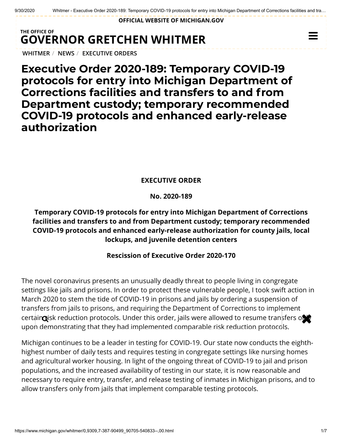**OFFICIAL WEBSITE OF [MICHIGAN.GOV](https://www.michigan.gov/)**

## **THE OFFICE OF GOVERNOR [GRETCHEN WHITMER](https://www.michigan.gov/whitmer/)**

**[WHITMER](https://www.michigan.gov/whitmer/)** / **[NEWS](https://www.michigan.gov/whitmer/0,9309,7-387-90499---,00.html)** / **[EXECUTIVE ORDERS](https://www.michigan.gov/whitmer/0,9309,7-387-90499_90705---,00.html)**

**Executive Order 2020-189: Temporary COVID-19 protocols for entry into Michigan Department of Corrections facilities and transfers to and from Department custody; temporary recommended COVID-19 protocols and enhanced early-release authorization**

### **EXECUTIVE ORDER**

**No. 2020-189**

### **Temporary COVID-19 protocols for entry into Michigan Department of Corrections facilities and transfers to and from Department custody; temporary recommended COVID-19 protocols and enhanced early-release authorization for county jails, local lockups, and juvenile detention centers**

#### **Rescission of Executive Order 2020-170**

The novel coronavirus presents an unusually deadly threat to people living in congregate settings like jails and prisons. In order to protect these vulnerable people, I took swift action in March 2020 to stem the tide of COVID-19 in prisons and jails by ordering a suspension of transfers from jails to prisons, and requiring the Department of Corrections to implement certain gisk reduction protocols. Under this order, jails were allowed to resume transfers on upon demonstrating that they had implemented comparable risk reduction protocols.

Michigan continues to be a leader in testing for COVID-19. Our state now conducts the eighthhighest number of daily tests and requires testing in congregate settings like nursing homes and agricultural worker housing. In light of the ongoing threat of COVID-19 to jail and prison populations, and the increased availability of testing in our state, it is now reasonable and necessary to require entry, transfer, and release testing of inmates in Michigan prisons, and to allow transfers only from jails that implement comparable testing protocols.

 $\equiv$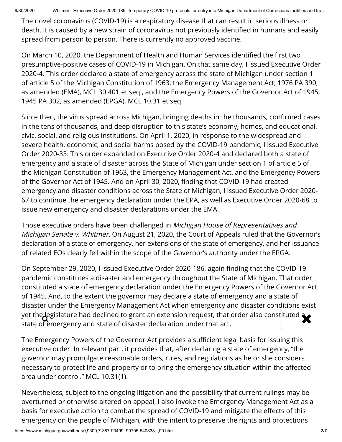9/30/2020 Whitmer - Executive Order 2020-189: Temporary COVID-19 protocols for entry into Michigan Department of Corrections facilities and tra...

The novel coronavirus (COVID-19) is a respiratory disease that can result in serious illness or death. It is caused by a new strain of coronavirus not previously identified in humans and easily spread from person to person. There is currently no approved vaccine.

On March 10, 2020, the Department of Health and Human Services identified the first two presumptive-positive cases of COVID-19 in Michigan. On that same day, I issued Executive Order 2020-4. This order declared a state of emergency across the state of Michigan under section 1 of article 5 of the Michigan Constitution of 1963, the Emergency Management Act, 1976 PA 390, as amended (EMA), MCL 30.401 et seq., and the Emergency Powers of the Governor Act of 1945, 1945 PA 302, as amended (EPGA), MCL 10.31 et seq.

Since then, the virus spread across Michigan, bringing deaths in the thousands, confirmed cases in the tens of thousands, and deep disruption to this state's economy, homes, and educational, civic, social, and religious institutions. On April 1, 2020, in response to the widespread and severe health, economic, and social harms posed by the COVID-19 pandemic, I issued Executive Order 2020-33. This order expanded on Executive Order 2020-4 and declared both a state of emergency and a state of disaster across the State of Michigan under section 1 of article 5 of the Michigan Constitution of 1963, the Emergency Management Act, and the Emergency Powers of the Governor Act of 1945. And on April 30, 2020, finding that COVID-19 had created emergency and disaster conditions across the State of Michigan, I issued Executive Order 2020- 67 to continue the emergency declaration under the EPA, as well as Executive Order 2020-68 to issue new emergency and disaster declarations under the EMA.

Those executive orders have been challenged in Michigan House of Representatives and Michigan Senate v. Whitmer. On August 21, 2020, the Court of Appeals ruled that the Governor's declaration of a state of emergency, her extensions of the state of emergency, and her issuance of related EOs clearly fell within the scope of the Governor's authority under the EPGA.

On September 29, 2020, I issued Executive Order 2020-186, again finding that the COVID-19 pandemic constitutes a disaster and emergency throughout the State of Michigan. That order constituted a state of emergency declaration under the Emergency Powers of the Governor Act of 1945. And, to the extent the governor may declare a state of emergency and a state of disaster under the Emergency Management Act when emergency and disaster conditions exist yet the legislature had declined to grant an extension request, that order also constituted  $\blacktriangleright$ state of emergency and state of disaster declaration under that act.

The Emergency Powers of the Governor Act provides a sufficient legal basis for issuing this executive order. In relevant part, it provides that, after declaring a state of emergency, "the governor may promulgate reasonable orders, rules, and regulations as he or she considers necessary to protect life and property or to bring the emergency situation within the affected area under control." MCL 10.31(1).

Nevertheless, subject to the ongoing litigation and the possibility that current rulings may be overturned or otherwise altered on appeal, I also invoke the Emergency Management Act as a basis for executive action to combat the spread of COVID-19 and mitigate the effects of this emergency on the people of Michigan, with the intent to preserve the rights and protections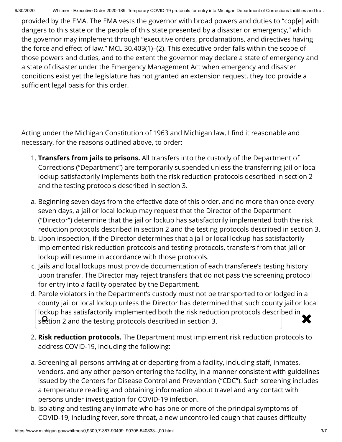provided by the EMA. The EMA vests the governor with broad powers and duties to "cop[e] with dangers to this state or the people of this state presented by a disaster or emergency," which the governor may implement through "executive orders, proclamations, and directives having the force and effect of law." MCL 30.403(1)–(2). This executive order falls within the scope of those powers and duties, and to the extent the governor may declare a state of emergency and a state of disaster under the Emergency Management Act when emergency and disaster conditions exist yet the legislature has not granted an extension request, they too provide a sufficient legal basis for this order.

Acting under the Michigan Constitution of 1963 and Michigan law, I find it reasonable and necessary, for the reasons outlined above, to order:

- 1. **Transfers from jails to prisons.** All transfers into the custody of the Department of Corrections ("Department") are temporarily suspended unless the transferring jail or local lockup satisfactorily implements both the risk reduction protocols described in section 2 and the testing protocols described in section 3.
- a. Beginning seven days from the effective date of this order, and no more than once every seven days, a jail or local lockup may request that the Director of the Department ("Director") determine that the jail or lockup has satisfactorily implemented both the risk reduction protocols described in section 2 and the testing protocols described in section 3.
- b. Upon inspection, if the Director determines that a jail or local lockup has satisfactorily implemented risk reduction protocols and testing protocols, transfers from that jail or lockup will resume in accordance with those protocols.
- c. Jails and local lockups must provide documentation of each transferee's testing history upon transfer. The Director may reject transfers that do not pass the screening protocol for entry into a facility operated by the Department.
- d. Parole violators in the Department's custody must not be transported to or lodged in a county jail or local lockup unless the Director has determined that such county jail or local lockup has satisfactorily implemented both the risk reduction protocols described in iockup has sausiactorily implemented both the risk reduction protocols described in  $\blacktriangleright$
- 2. **Risk reduction protocols.** The Department must implement risk reduction protocols to address COVID-19, including the following:
- a. Screening all persons arriving at or departing from a facility, including staff, inmates, vendors, and any other person entering the facility, in a manner consistent with guidelines issued by the Centers for Disease Control and Prevention ("CDC"). Such screening includes a temperature reading and obtaining information about travel and any contact with persons under investigation for COVID-19 infection.
- b. Isolating and testing any inmate who has one or more of the principal symptoms of COVID-19, including fever, sore throat, a new uncontrolled cough that causes difficulty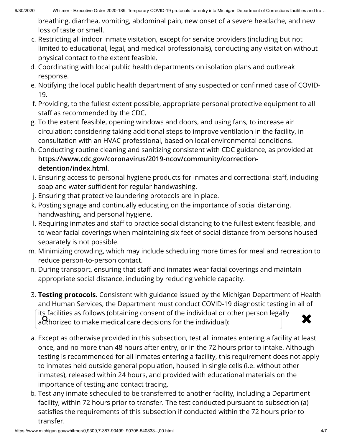breathing, diarrhea, vomiting, abdominal pain, new onset of a severe headache, and new loss of taste or smell.

- c. Restricting all indoor inmate visitation, except for service providers (including but not limited to educational, legal, and medical professionals), conducting any visitation without physical contact to the extent feasible.
- d. Coordinating with local public health departments on isolation plans and outbreak response.
- e. Notifying the local public health department of any suspected or confirmed case of COVID-19.
- f. Providing, to the fullest extent possible, appropriate personal protective equipment to all staff as recommended by the CDC.
- g. To the extent feasible, opening windows and doors, and using fans, to increase air circulation; considering taking additional steps to improve ventilation in the facility, in consultation with an HVAC professional, based on local environmental conditions.
- h. Conducting routine cleaning and sanitizing consistent with CDC guidance, as provided at **[https://www.cdc.gov/coronavirus/2019-ncov/community/correction](https://www.cdc.gov/coronavirus/2019-ncov/community/correction-detention/index.html)detention/index.html**.
- i. Ensuring access to personal hygiene products for inmates and correctional staff, including soap and water sufficient for regular handwashing.
- j. Ensuring that protective laundering protocols are in place.
- k. Posting signage and continually educating on the importance of social distancing, handwashing, and personal hygiene.
- I. Requiring inmates and staff to practice social distancing to the fullest extent feasible, and to wear facial coverings when maintaining six feet of social distance from persons housed separately is not possible.
- m. Minimizing crowding, which may include scheduling more times for meal and recreation to reduce person-to-person contact.
- n. During transport, ensuring that staff and inmates wear facial coverings and maintain appropriate social distance, including by reducing vehicle capacity.
- 3. **Testing protocols.** Consistent with guidance issued by the Michigan Department of Health and Human Services, the Department must conduct COVID-19 diagnostic testing in all of its facilities as follows (obtaining consent of the individual or other person legally its facilities as follows (obtaining consent of the individual or other person legally<br>authorized to make medical care decisions for the individual):
- a. Except as otherwise provided in this subsection, test all inmates entering a facility at least once, and no more than 48 hours after entry, or in the 72 hours prior to intake. Although testing is recommended for all inmates entering a facility, this requirement does not apply to inmates held outside general population, housed in single cells (i.e. without other inmates), released within 24 hours, and provided with educational materials on the importance of testing and contact tracing.
- b. Test any inmate scheduled to be transferred to another facility, including a Department facility, within 72 hours prior to transfer. The test conducted pursuant to subsection (a) satisfies the requirements of this subsection if conducted within the 72 hours prior to transfer.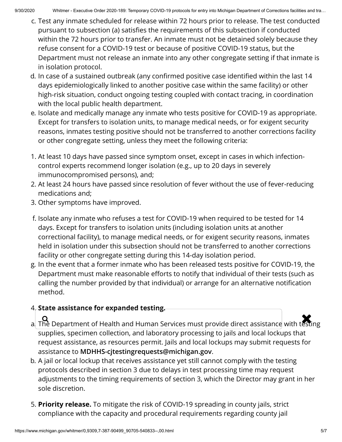- c. Test any inmate scheduled for release within 72 hours prior to release. The test conducted pursuant to subsection (a) satisfies the requirements of this subsection if conducted within the 72 hours prior to transfer. An inmate must not be detained solely because they refuse consent for a COVID-19 test or because of positive COVID-19 status, but the Department must not release an inmate into any other congregate setting if that inmate is in isolation protocol.
- d. In case of a sustained outbreak (any confirmed positive case identified within the last 14 days epidemiologically linked to another positive case within the same facility) or other high-risk situation, conduct ongoing testing coupled with contact tracing, in coordination with the local public health department.
- e. Isolate and medically manage any inmate who tests positive for COVID-19 as appropriate. Except for transfers to isolation units, to manage medical needs, or for exigent security reasons, inmates testing positive should not be transferred to another corrections facility or other congregate setting, unless they meet the following criteria:
- 1. At least 10 days have passed since symptom onset, except in cases in which infectioncontrol experts recommend longer isolation (e.g., up to 20 days in severely immunocompromised persons), and;
- 2. At least 24 hours have passed since resolution of fever without the use of fever-reducing medications and;
- 3. Other symptoms have improved.
- f. Isolate any inmate who refuses a test for COVID-19 when required to be tested for 14 days. Except for transfers to isolation units (including isolation units at another correctional facility), to manage medical needs, or for exigent security reasons, inmates held in isolation under this subsection should not be transferred to another corrections facility or other congregate setting during this 14-day isolation period.
- g. In the event that a former inmate who has been released tests positive for COVID-19, the Department must make reasonable efforts to notify that individual of their tests (such as calling the number provided by that individual) or arrange for an alternative notification method.

# 4. **State assistance for expanded testing.**

- a.<br>a. The Department of Health and Human Services must provide direct assistance with testing supplies, specimen collection, and laboratory processing to jails and local lockups that request assistance, as resources permit. Jails and local lockups may submit requests for assistance to **[MDHHS-cjtestingrequests@michigan.gov](mailto:MDHHS-cjtestingrequests@michigan.gov@michigan.gov)**.
- b. A jail or local lockup that receives assistance yet still cannot comply with the testing protocols described in section 3 due to delays in test processing time may request adjustments to the timing requirements of section 3, which the Director may grant in her sole discretion.
- 5. **Priority release.** To mitigate the risk of COVID-19 spreading in county jails, strict compliance with the capacity and procedural requirements regarding county jail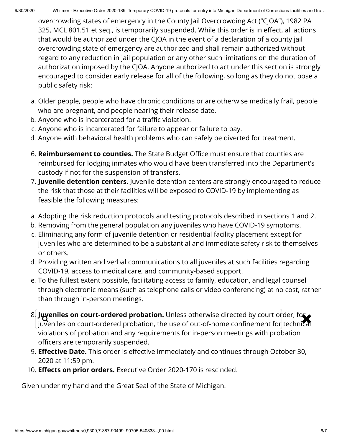overcrowding states of emergency in the County Jail Overcrowding Act ("CJOA"), 1982 PA 325, MCL 801.51 et seq., is temporarily suspended. While this order is in effect, all actions that would be authorized under the CJOA in the event of a declaration of a county jail overcrowding state of emergency are authorized and shall remain authorized without regard to any reduction in jail population or any other such limitations on the duration of authorization imposed by the CJOA. Anyone authorized to act under this section is strongly encouraged to consider early release for all of the following, so long as they do not pose a public safety risk:

- a. Older people, people who have chronic conditions or are otherwise medically frail, people who are pregnant, and people nearing their release date.
- b. Anyone who is incarcerated for a traffic violation.
- c. Anyone who is incarcerated for failure to appear or failure to pay.
- d. Anyone with behavioral health problems who can safely be diverted for treatment.
- 6. **Reimbursement to counties.** The State Budget Office must ensure that counties are reimbursed for lodging inmates who would have been transferred into the Department's custody if not for the suspension of transfers.
- 7. **Juvenile detention centers.** Juvenile detention centers are strongly encouraged to reduce the risk that those at their facilities will be exposed to COVID-19 by implementing as feasible the following measures:
- a. Adopting the risk reduction protocols and testing protocols described in sections 1 and 2.
- b. Removing from the general population any juveniles who have COVID-19 symptoms.
- c. Eliminating any form of juvenile detention or residential facility placement except for juveniles who are determined to be a substantial and immediate safety risk to themselves or others.
- d. Providing written and verbal communications to all juveniles at such facilities regarding COVID-19, access to medical care, and community-based support.
- e. To the fullest extent possible, facilitating access to family, education, and legal counsel through electronic means (such as telephone calls or video conferencing) at no cost, rather than through in-person meetings.
- 8. **Juveniles on court-ordered probation.** Unless otherwise directed by court order, for juveniles on court-ordered probation, the use of out-of-home confinement for technical violations of probation and any requirements for in-person meetings with probation officers are temporarily suspended.
- 9. **Effective Date.** This order is effective immediately and continues through October 30, 2020 at 11:59 pm.
- 10. **Effects on prior orders.** Executive Order 2020-170 is rescinded.

Given under my hand and the Great Seal of the State of Michigan.